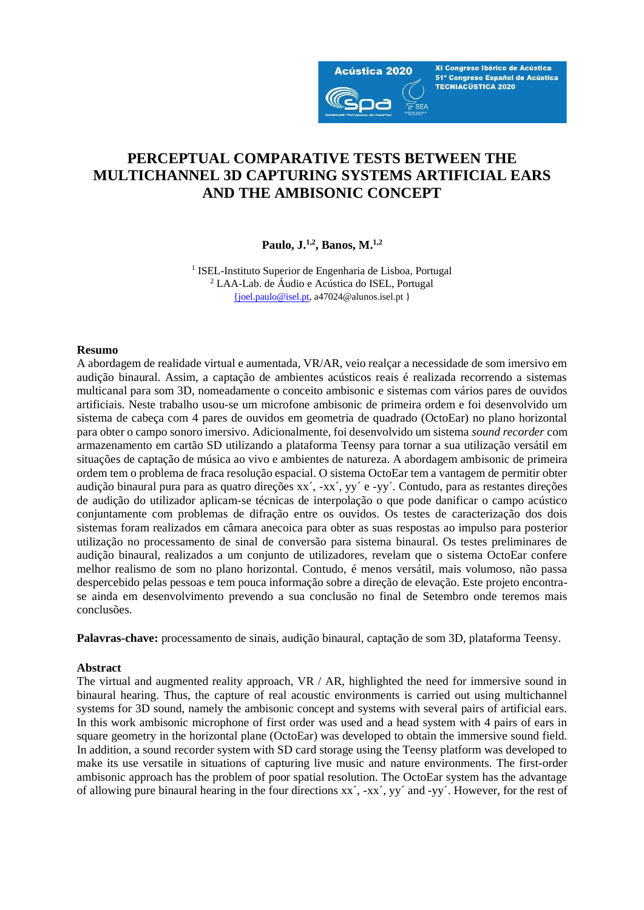

XI Congreso Ibérico de Acústica 51º Congreso Español de Acústica **TECNIACÚSTICA 2020** 

# **PERCEPTUAL COMPARATIVE TESTS BETWEEN THE MULTICHANNEL 3D CAPTURING SYSTEMS ARTIFICIAL EARS AND THE AMBISONIC CONCEPT**

**Paulo, J.1,2, Banos, M. 1,2**

<sup>1</sup> ISEL-Instituto Superior de Engenharia de Lisboa, Portugal <sup>2</sup> LAA-Lab. de Áudio e Acústica do ISEL, Portugal [{joel.paulo@isel.pt,](mailto:%7bjoel.paulo@isel.pt) a47024@alunos.isel.pt }

# **Resumo**

A abordagem de realidade virtual e aumentada, VR/AR, veio realçar a necessidade de som imersivo em audição binaural. Assim, a captação de ambientes acústicos reais é realizada recorrendo a sistemas multicanal para som 3D, nomeadamente o conceito ambisonic e sistemas com vários pares de ouvidos artificiais. Neste trabalho usou-se um microfone ambisonic de primeira ordem e foi desenvolvido um sistema de cabeça com 4 pares de ouvidos em geometria de quadrado (OctoEar) no plano horizontal para obter o campo sonoro imersivo. Adicionalmente, foi desenvolvido um sistema *sound recorder* com armazenamento em cartão SD utilizando a plataforma Teensy para tornar a sua utilização versátil em situações de captação de música ao vivo e ambientes de natureza. A abordagem ambisonic de primeira ordem tem o problema de fraca resolução espacial. O sistema OctoEar tem a vantagem de permitir obter audição binaural pura para as quatro direções xx´, -xx´, yy´ e -yy´. Contudo, para as restantes direções de audição do utilizador aplicam-se técnicas de interpolação o que pode danificar o campo acústico conjuntamente com problemas de difração entre os ouvidos. Os testes de caracterização dos dois sistemas foram realizados em câmara anecoica para obter as suas respostas ao impulso para posterior utilização no processamento de sinal de conversão para sistema binaural. Os testes preliminares de audição binaural, realizados a um conjunto de utilizadores, revelam que o sistema OctoEar confere melhor realismo de som no plano horizontal. Contudo, é menos versátil, mais volumoso, não passa despercebido pelas pessoas e tem pouca informação sobre a direção de elevação. Este projeto encontrase ainda em desenvolvimento prevendo a sua conclusão no final de Setembro onde teremos mais conclusões.

**Palavras-chave:** processamento de sinais, audição binaural, captação de som 3D, plataforma Teensy.

# **Abstract**

The virtual and augmented reality approach, VR / AR, highlighted the need for immersive sound in binaural hearing. Thus, the capture of real acoustic environments is carried out using multichannel systems for 3D sound, namely the ambisonic concept and systems with several pairs of artificial ears. In this work ambisonic microphone of first order was used and a head system with 4 pairs of ears in square geometry in the horizontal plane (OctoEar) was developed to obtain the immersive sound field. In addition, a sound recorder system with SD card storage using the Teensy platform was developed to make its use versatile in situations of capturing live music and nature environments. The first-order ambisonic approach has the problem of poor spatial resolution. The OctoEar system has the advantage of allowing pure binaural hearing in the four directions xx´, -xx´, yy´ and -yy´. However, for the rest of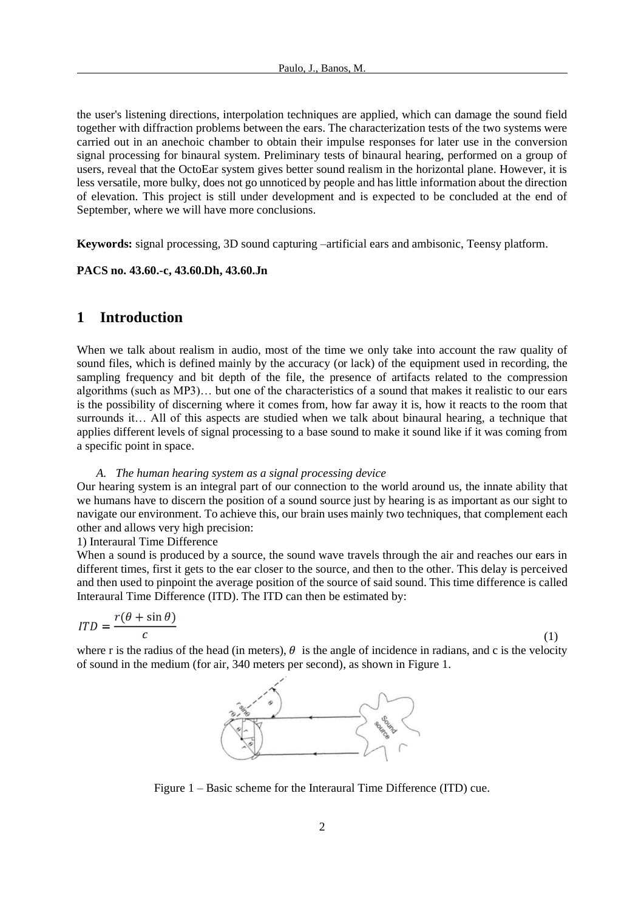the user's listening directions, interpolation techniques are applied, which can damage the sound field together with diffraction problems between the ears. The characterization tests of the two systems were carried out in an anechoic chamber to obtain their impulse responses for later use in the conversion signal processing for binaural system. Preliminary tests of binaural hearing, performed on a group of users, reveal that the OctoEar system gives better sound realism in the horizontal plane. However, it is less versatile, more bulky, does not go unnoticed by people and has little information about the direction of elevation. This project is still under development and is expected to be concluded at the end of September, where we will have more conclusions.

**Keywords:** signal processing, 3D sound capturing –artificial ears and ambisonic, Teensy platform.

#### **PACS no. 43.60.-c, 43.60.Dh, 43.60.Jn**

# **1 Introduction**

When we talk about realism in audio, most of the time we only take into account the raw quality of sound files, which is defined mainly by the accuracy (or lack) of the equipment used in recording, the sampling frequency and bit depth of the file, the presence of artifacts related to the compression algorithms (such as MP3)… but one of the characteristics of a sound that makes it realistic to our ears is the possibility of discerning where it comes from, how far away it is, how it reacts to the room that surrounds it… All of this aspects are studied when we talk about binaural hearing, a technique that applies different levels of signal processing to a base sound to make it sound like if it was coming from a specific point in space.

#### *A. The human hearing system as a signal processing device*

Our hearing system is an integral part of our connection to the world around us, the innate ability that we humans have to discern the position of a sound source just by hearing is as important as our sight to navigate our environment. To achieve this, our brain uses mainly two techniques, that complement each other and allows very high precision:

# 1) Interaural Time Difference

When a sound is produced by a source, the sound wave travels through the air and reaches our ears in different times, first it gets to the ear closer to the source, and then to the other. This delay is perceived and then used to pinpoint the average position of the source of said sound. This time difference is called Interaural Time Difference (ITD). The ITD can then be estimated by:

$$
ITD = \frac{r(\theta + \sin \theta)}{c} \tag{1}
$$

where r is the radius of the head (in meters),  $\theta$  is the angle of incidence in radians, and c is the velocity of sound in the medium (for air, 340 meters per second), as shown in Figure 1.



Figure 1 – Basic scheme for the Interaural Time Difference (ITD) cue.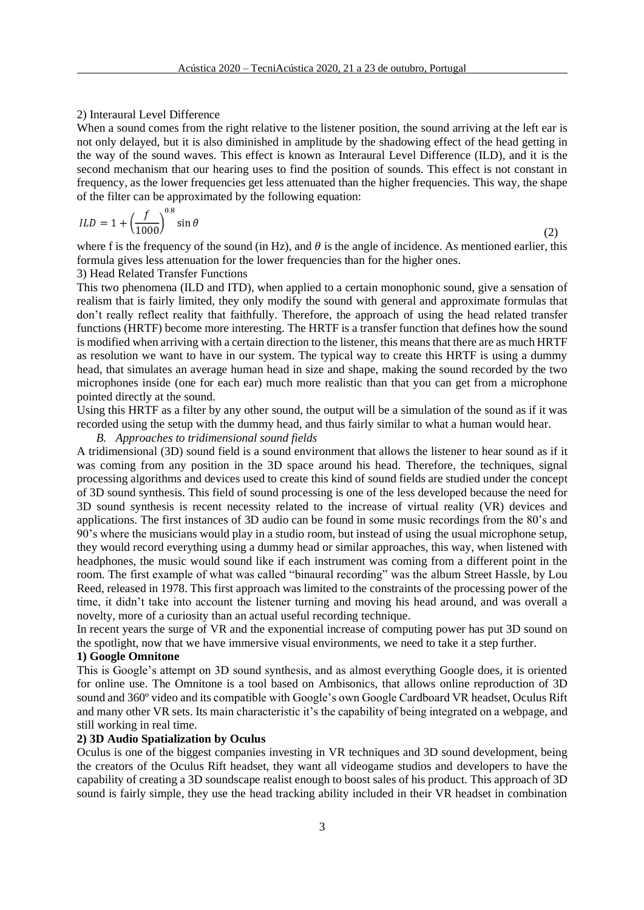#### 2) Interaural Level Difference

When a sound comes from the right relative to the listener position, the sound arriving at the left ear is not only delayed, but it is also diminished in amplitude by the shadowing effect of the head getting in the way of the sound waves. This effect is known as Interaural Level Difference (ILD), and it is the second mechanism that our hearing uses to find the position of sounds. This effect is not constant in frequency, as the lower frequencies get less attenuated than the higher frequencies. This way, the shape of the filter can be approximated by the following equation:

$$
ILD = 1 + \left(\frac{f}{1000}\right)^{0.8} \sin \theta \tag{2}
$$

where f is the frequency of the sound (in Hz), and  $\theta$  is the angle of incidence. As mentioned earlier, this formula gives less attenuation for the lower frequencies than for the higher ones.

#### 3) Head Related Transfer Functions

This two phenomena (ILD and ITD), when applied to a certain monophonic sound, give a sensation of realism that is fairly limited, they only modify the sound with general and approximate formulas that don't really reflect reality that faithfully. Therefore, the approach of using the head related transfer functions (HRTF) become more interesting. The HRTF is a transfer function that defines how the sound is modified when arriving with a certain direction to the listener, this means that there are as much HRTF as resolution we want to have in our system. The typical way to create this HRTF is using a dummy head, that simulates an average human head in size and shape, making the sound recorded by the two microphones inside (one for each ear) much more realistic than that you can get from a microphone pointed directly at the sound.

Using this HRTF as a filter by any other sound, the output will be a simulation of the sound as if it was recorded using the setup with the dummy head, and thus fairly similar to what a human would hear.

## *B. Approaches to tridimensional sound fields*

A tridimensional (3D) sound field is a sound environment that allows the listener to hear sound as if it was coming from any position in the 3D space around his head. Therefore, the techniques, signal processing algorithms and devices used to create this kind of sound fields are studied under the concept of 3D sound synthesis. This field of sound processing is one of the less developed because the need for 3D sound synthesis is recent necessity related to the increase of virtual reality (VR) devices and applications. The first instances of 3D audio can be found in some music recordings from the 80's and 90's where the musicians would play in a studio room, but instead of using the usual microphone setup, they would record everything using a dummy head or similar approaches, this way, when listened with headphones, the music would sound like if each instrument was coming from a different point in the room. The first example of what was called "binaural recording" was the album Street Hassle, by Lou Reed, released in 1978. This first approach was limited to the constraints of the processing power of the time, it didn't take into account the listener turning and moving his head around, and was overall a novelty, more of a curiosity than an actual useful recording technique.

In recent years the surge of VR and the exponential increase of computing power has put 3D sound on the spotlight, now that we have immersive visual environments, we need to take it a step further.

# **1) Google Omnitone**

This is Google's attempt on 3D sound synthesis, and as almost everything Google does, it is oriented for online use. The Omnitone is a tool based on Ambisonics, that allows online reproduction of 3D sound and 360º video and its compatible with Google's own Google Cardboard VR headset, Oculus Rift and many other VR sets. Its main characteristic it's the capability of being integrated on a webpage, and still working in real time.

# **2) 3D Audio Spatialization by Oculus**

Oculus is one of the biggest companies investing in VR techniques and 3D sound development, being the creators of the Oculus Rift headset, they want all videogame studios and developers to have the capability of creating a 3D soundscape realist enough to boost sales of his product. This approach of 3D sound is fairly simple, they use the head tracking ability included in their VR headset in combination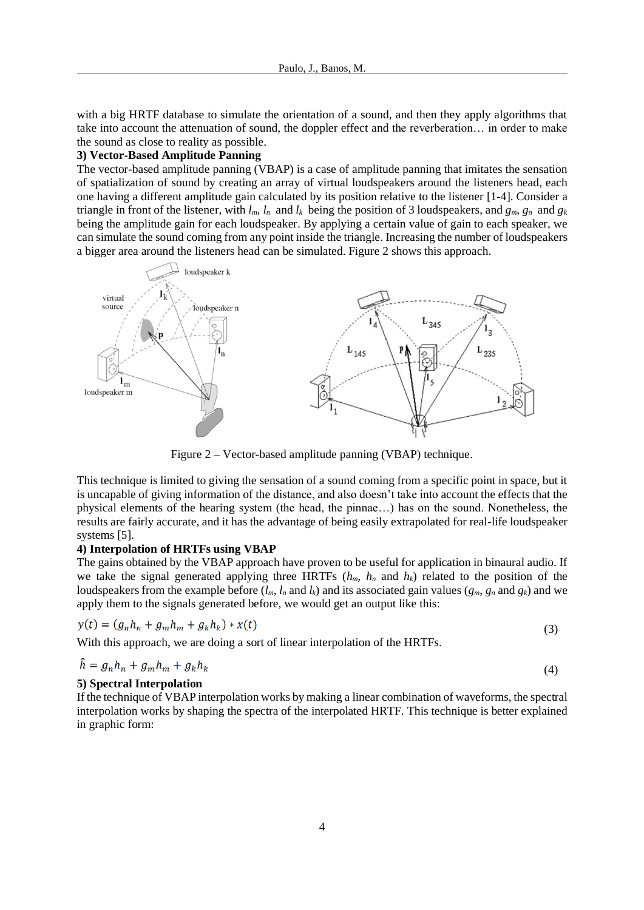with a big HRTF database to simulate the orientation of a sound, and then they apply algorithms that take into account the attenuation of sound, the doppler effect and the reverberation… in order to make the sound as close to reality as possible.

# **3) Vector-Based Amplitude Panning**

The vector-based amplitude panning (VBAP) is a case of amplitude panning that imitates the sensation of spatialization of sound by creating an array of virtual loudspeakers around the listeners head, each one having a different amplitude gain calculated by its position relative to the listener [1-4]. Consider a triangle in front of the listener, with  $l_m$ ,  $l_n$  and  $l_k$  being the position of 3 loudspeakers, and  $g_m$ ,  $g_n$  and  $g_k$ being the amplitude gain for each loudspeaker. By applying a certain value of gain to each speaker, we can simulate the sound coming from any point inside the triangle. Increasing the number of loudspeakers a bigger area around the listeners head can be simulated. Figure 2 shows this approach.



Figure 2 – Vector-based amplitude panning (VBAP) technique.

This technique is limited to giving the sensation of a sound coming from a specific point in space, but it is uncapable of giving information of the distance, and also doesn't take into account the effects that the physical elements of the hearing system (the head, the pinnae…) has on the sound. Nonetheless, the results are fairly accurate, and it has the advantage of being easily extrapolated for real-life loudspeaker systems [5].

## **4) Interpolation of HRTFs using VBAP**

The gains obtained by the VBAP approach have proven to be useful for application in binaural audio. If we take the signal generated applying three HRTFs  $(h_m, h_n$  and  $h_k$ ) related to the position of the loudspeakers from the example before  $(l_m, l_n$  and  $l_k$ ) and its associated gain values  $(g_m, g_n$  and  $g_k$ ) and we apply them to the signals generated before, we would get an output like this:

$$
y(t) = (g_n h_n + g_m h_m + g_k h_k) * x(t)
$$
\n(3)

With this approach, we are doing a sort of linear interpolation of the HRTFs.

$$
\ddot{h} = g_n h_n + g_m h_m + g_k h_k \tag{4}
$$

## **5) Spectral Interpolation**

 $\overline{a}$ 

If the technique of VBAP interpolation works by making a linear combination of waveforms, the spectral interpolation works by shaping the spectra of the interpolated HRTF. This technique is better explained in graphic form: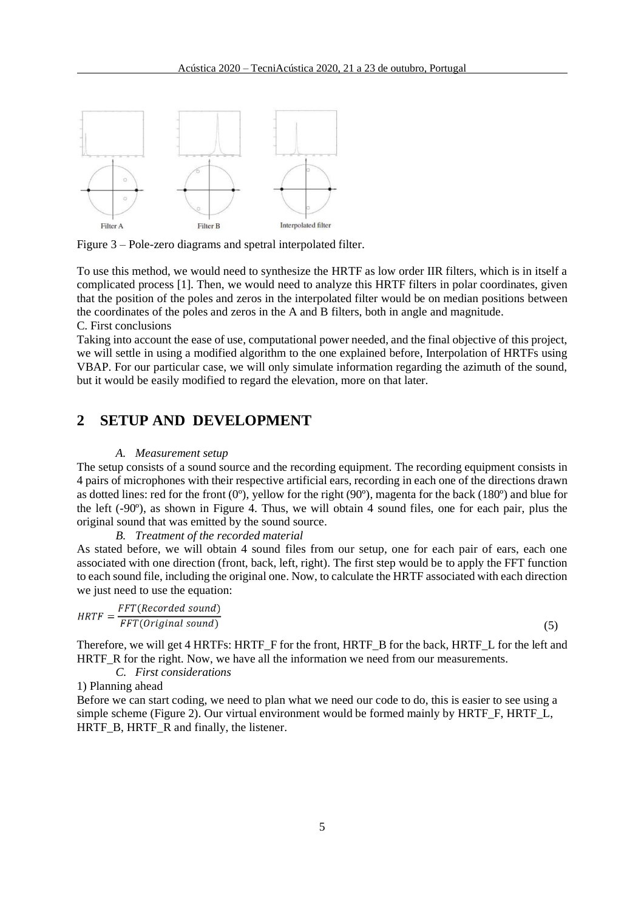

Figure 3 – Pole-zero diagrams and spetral interpolated filter.

To use this method, we would need to synthesize the HRTF as low order IIR filters, which is in itself a complicated process [1]. Then, we would need to analyze this HRTF filters in polar coordinates, given that the position of the poles and zeros in the interpolated filter would be on median positions between the coordinates of the poles and zeros in the A and B filters, both in angle and magnitude. C. First conclusions

Taking into account the ease of use, computational power needed, and the final objective of this project, we will settle in using a modified algorithm to the one explained before, Interpolation of HRTFs using VBAP. For our particular case, we will only simulate information regarding the azimuth of the sound, but it would be easily modified to regard the elevation, more on that later.

# **2 SETUP AND DEVELOPMENT**

#### *A. Measurement setup*

The setup consists of a sound source and the recording equipment. The recording equipment consists in 4 pairs of microphones with their respective artificial ears, recording in each one of the directions drawn as dotted lines: red for the front  $(0^{\circ})$ , yellow for the right  $(90^{\circ})$ , magenta for the back  $(180^{\circ})$  and blue for the left (-90º), as shown in Figure 4. Thus, we will obtain 4 sound files, one for each pair, plus the original sound that was emitted by the sound source.

## *B. Treatment of the recorded material*

As stated before, we will obtain 4 sound files from our setup, one for each pair of ears, each one associated with one direction (front, back, left, right). The first step would be to apply the FFT function to each sound file, including the original one. Now, to calculate the HRTF associated with each direction we just need to use the equation:

$$
HRTF = \frac{FFT(Recorded sound)}{FFT(Original sound)}
$$

(5)

Therefore, we will get 4 HRTFs: HRTF\_F for the front, HRTF\_B for the back, HRTF\_L for the left and HRTF R for the right. Now, we have all the information we need from our measurements.

*C. First considerations*

1) Planning ahead

Before we can start coding, we need to plan what we need our code to do, this is easier to see using a simple scheme (Figure 2). Our virtual environment would be formed mainly by HRTF\_F, HRTF\_L, HRTF\_B, HRTF\_R and finally, the listener.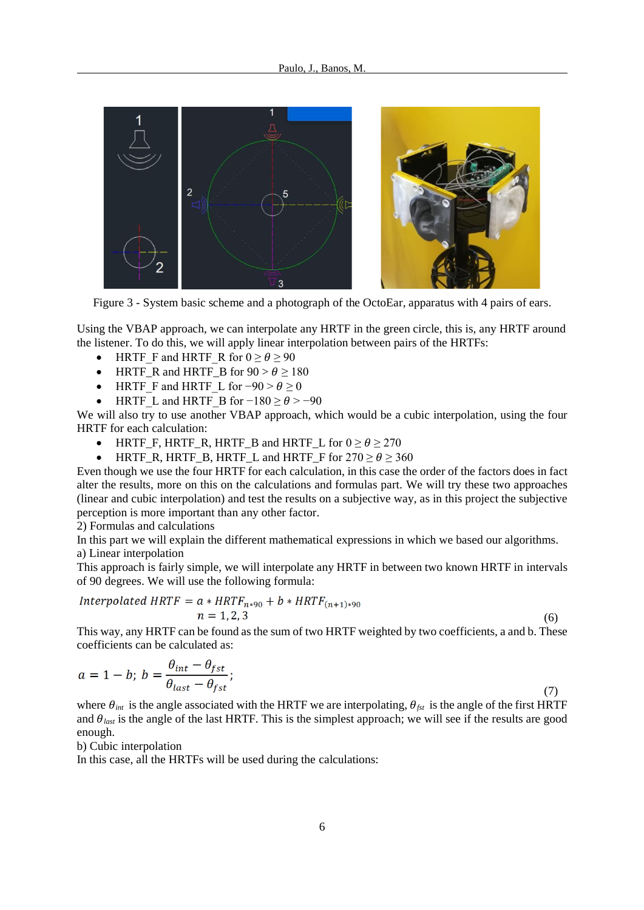

Figure 3 - System basic scheme and a photograph of the OctoEar, apparatus with 4 pairs of ears.

Using the VBAP approach, we can interpolate any HRTF in the green circle, this is, any HRTF around the listener. To do this, we will apply linear interpolation between pairs of the HRTFs:

- HRTF F and HRTF\_R for  $0 \ge \theta \ge 90$
- HRTF\_R and HRTF\_B for  $90 > \theta \ge 180$
- HRTF F and HRTF L for  $-90 > \theta \ge 0$
- HRTF L and HRTF B for  $-180 \ge \theta > -90$

We will also try to use another VBAP approach, which would be a cubic interpolation, using the four HRTF for each calculation:

- HRTF\_F, HRTF\_R, HRTF\_B and HRTF\_L for  $0 \ge \theta \ge 270$
- HRTF\_R, HRTF\_B, HRTF\_L and HRTF\_F for  $270 \ge \theta \ge 360$

Even though we use the four HRTF for each calculation, in this case the order of the factors does in fact alter the results, more on this on the calculations and formulas part. We will try these two approaches (linear and cubic interpolation) and test the results on a subjective way, as in this project the subjective perception is more important than any other factor.

2) Formulas and calculations

In this part we will explain the different mathematical expressions in which we based our algorithms. a) Linear interpolation

This approach is fairly simple, we will interpolate any HRTF in between two known HRTF in intervals of 90 degrees. We will use the following formula:

$$
Interpolated HRTF = a * HRTF_{n*90} + b * HRTF_{(n+1)*90}
$$
  

$$
n = 1, 2, 3
$$
 (6)

This way, any HRTF can be found as the sum of two HRTF weighted by two coefficients, a and b. These coefficients can be calculated as:

$$
a = 1 - b; \ b = \frac{\theta_{int} - \theta_{fst}}{\theta_{last} - \theta_{fst}}; \tag{7}
$$

where  $\theta_{int}$  is the angle associated with the HRTF we are interpolating,  $\theta_{fst}$  is the angle of the first HRTF and  $\theta_{\text{last}}$  is the angle of the last HRTF. This is the simplest approach; we will see if the results are good enough.

b) Cubic interpolation

In this case, all the HRTFs will be used during the calculations: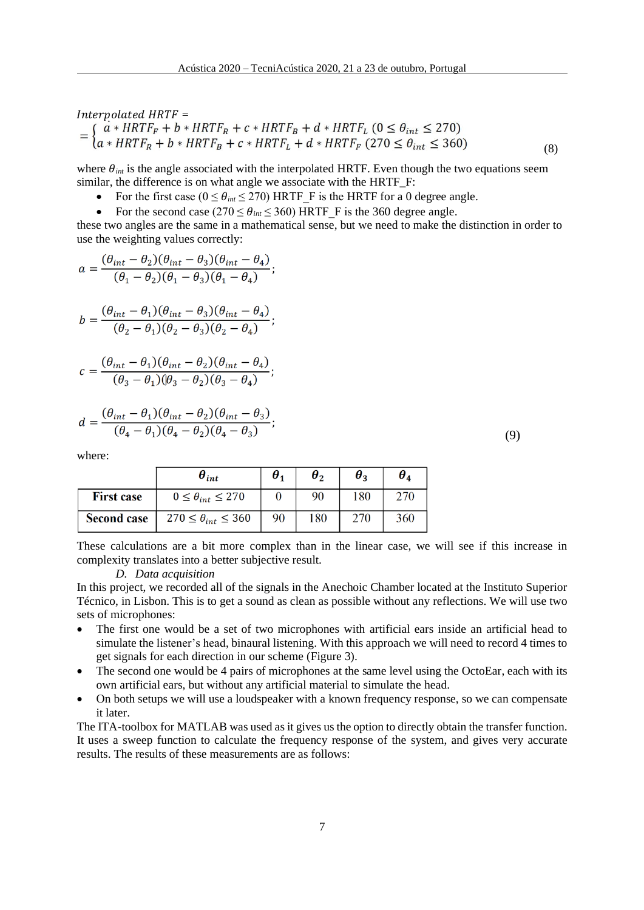$\begin{array}{l} \textit{Interpolated HRTF} = \\ = \left\{ \begin{matrix} a*HRTF_F + b*HRTF_R + c*HRTF_B + d*HRTF_L \ (0 \leq \theta_{int} \leq 270) \\ a*HRTF_R + b*HRTF_B + c*HRTF_L + d*HRTF_F \ (270 \leq \theta_{int} \leq 360) \end{matrix} \right. \end{array}$ (8)

where  $\theta_{int}$  is the angle associated with the interpolated HRTF. Even though the two equations seem similar, the difference is on what angle we associate with the HRTF\_F:

- For the first case  $(0 \le \theta_{int} \le 270)$  HRTF F is the HRTF for a 0 degree angle.
- For the second case ( $270 \le \theta_{int} \le 360$ ) HRTF F is the 360 degree angle.

these two angles are the same in a mathematical sense, but we need to make the distinction in order to use the weighting values correctly:

$$
a = \frac{(\theta_{int} - \theta_2)(\theta_{int} - \theta_3)(\theta_{int} - \theta_4)}{(\theta_1 - \theta_2)(\theta_1 - \theta_3)(\theta_1 - \theta_4)}
$$

$$
b = \frac{(\theta_{int} - \theta_1)(\theta_{int} - \theta_3)(\theta_{int} - \theta_4)}{(\theta_2 - \theta_1)(\theta_2 - \theta_3)(\theta_2 - \theta_4)};
$$

$$
c = \frac{(\theta_{int} - \theta_1)(\theta_{int} - \theta_2)(\theta_{int} - \theta_4)}{(\theta_3 - \theta_1)(\theta_3 - \theta_2)(\theta_3 - \theta_4)};
$$

$$
d = \frac{(\theta_{int} - \theta_1)(\theta_{int} - \theta_2)(\theta_{int} - \theta_3)}{(\theta_4 - \theta_1)(\theta_4 - \theta_2)(\theta_4 - \theta_3)};
$$

where:

|                    | $\boldsymbol{\theta}_{int}$    | $\boldsymbol{\theta}_1$ | $\theta$ | $\bm{\theta}_{\bm{2}}$ | $\bm{\theta}_{\textit{\textbf{A}}}$ |
|--------------------|--------------------------------|-------------------------|----------|------------------------|-------------------------------------|
| <b>First case</b>  | $0 \leq \theta_{int} \leq 270$ |                         | 90       | 180                    | 270                                 |
| <b>Second case</b> | $270 \le \theta_{int} \le 360$ | 90                      | 180      | 270                    | 360                                 |

These calculations are a bit more complex than in the linear case, we will see if this increase in complexity translates into a better subjective result.

#### *D. Data acquisition*

In this project, we recorded all of the signals in the Anechoic Chamber located at the Instituto Superior Técnico, in Lisbon. This is to get a sound as clean as possible without any reflections. We will use two sets of microphones:

- The first one would be a set of two microphones with artificial ears inside an artificial head to simulate the listener's head, binaural listening. With this approach we will need to record 4 times to get signals for each direction in our scheme (Figure 3).
- The second one would be 4 pairs of microphones at the same level using the OctoEar, each with its own artificial ears, but without any artificial material to simulate the head.
- On both setups we will use a loudspeaker with a known frequency response, so we can compensate it later.

The ITA-toolbox for MATLAB was used as it gives us the option to directly obtain the transfer function. It uses a sweep function to calculate the frequency response of the system, and gives very accurate results. The results of these measurements are as follows:

(9)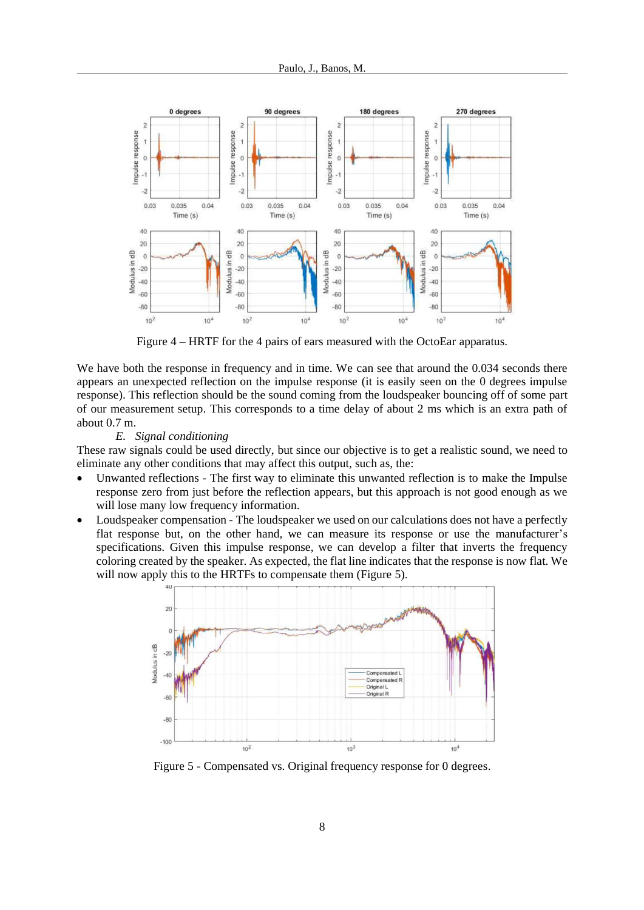

Figure 4 – HRTF for the 4 pairs of ears measured with the OctoEar apparatus.

We have both the response in frequency and in time. We can see that around the 0.034 seconds there appears an unexpected reflection on the impulse response (it is easily seen on the 0 degrees impulse response). This reflection should be the sound coming from the loudspeaker bouncing off of some part of our measurement setup. This corresponds to a time delay of about 2 ms which is an extra path of about 0.7 m.

*E. Signal conditioning*

These raw signals could be used directly, but since our objective is to get a realistic sound, we need to eliminate any other conditions that may affect this output, such as, the:

- Unwanted reflections The first way to eliminate this unwanted reflection is to make the Impulse response zero from just before the reflection appears, but this approach is not good enough as we will lose many low frequency information.
- Loudspeaker compensation The loudspeaker we used on our calculations does not have a perfectly flat response but, on the other hand, we can measure its response or use the manufacturer's specifications. Given this impulse response, we can develop a filter that inverts the frequency coloring created by the speaker. As expected, the flat line indicates that the response is now flat. We will now apply this to the HRTFs to compensate them (Figure 5).



Figure 5 - Compensated vs. Original frequency response for 0 degrees.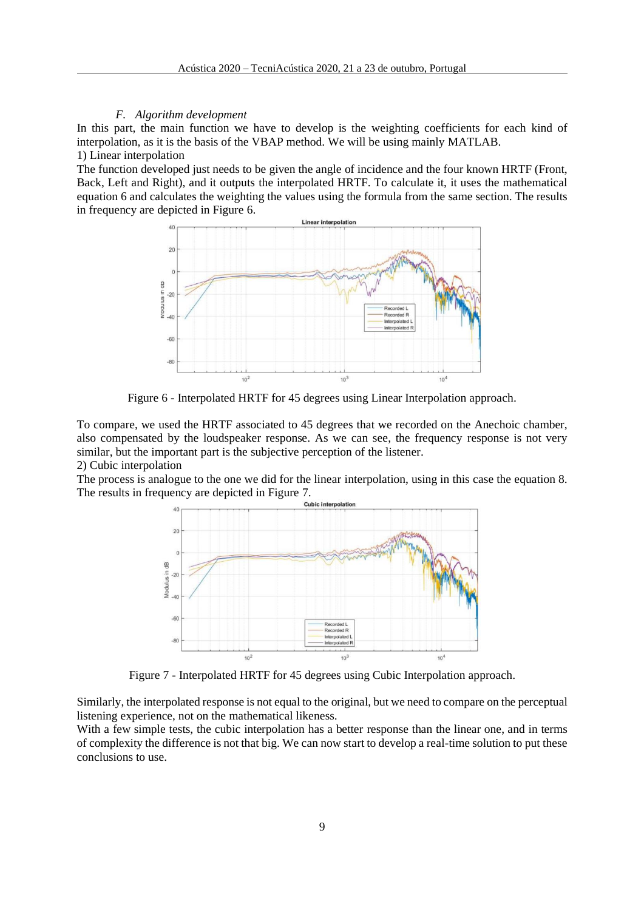#### *F. Algorithm development*

In this part, the main function we have to develop is the weighting coefficients for each kind of interpolation, as it is the basis of the VBAP method. We will be using mainly MATLAB. 1) Linear interpolation

The function developed just needs to be given the angle of incidence and the four known HRTF (Front, Back, Left and Right), and it outputs the interpolated HRTF. To calculate it, it uses the mathematical equation 6 and calculates the weighting the values using the formula from the same section. The results in frequency are depicted in Figure 6.



Figure 6 - Interpolated HRTF for 45 degrees using Linear Interpolation approach.

To compare, we used the HRTF associated to 45 degrees that we recorded on the Anechoic chamber, also compensated by the loudspeaker response. As we can see, the frequency response is not very similar, but the important part is the subjective perception of the listener. 2) Cubic interpolation

The process is analogue to the one we did for the linear interpolation, using in this case the equation 8. The results in frequency are depicted in Figure 7.<br>Cubic interpolation



Figure 7 - Interpolated HRTF for 45 degrees using Cubic Interpolation approach.

Similarly, the interpolated response is not equal to the original, but we need to compare on the perceptual listening experience, not on the mathematical likeness.

With a few simple tests, the cubic interpolation has a better response than the linear one, and in terms of complexity the difference is not that big. We can now start to develop a real-time solution to put these conclusions to use.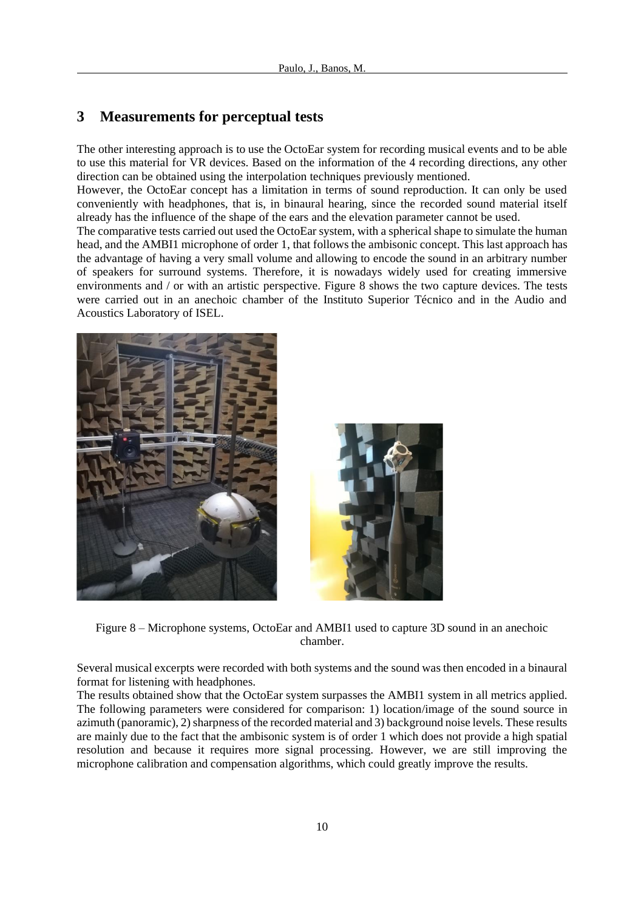# **3 Measurements for perceptual tests**

The other interesting approach is to use the OctoEar system for recording musical events and to be able to use this material for VR devices. Based on the information of the 4 recording directions, any other direction can be obtained using the interpolation techniques previously mentioned.

However, the OctoEar concept has a limitation in terms of sound reproduction. It can only be used conveniently with headphones, that is, in binaural hearing, since the recorded sound material itself already has the influence of the shape of the ears and the elevation parameter cannot be used.

The comparative tests carried out used the OctoEar system, with a spherical shape to simulate the human head, and the AMBI1 microphone of order 1, that follows the ambisonic concept. This last approach has the advantage of having a very small volume and allowing to encode the sound in an arbitrary number of speakers for surround systems. Therefore, it is nowadays widely used for creating immersive environments and / or with an artistic perspective. Figure 8 shows the two capture devices. The tests were carried out in an anechoic chamber of the Instituto Superior Técnico and in the Audio and Acoustics Laboratory of ISEL.



Figure 8 – Microphone systems, OctoEar and AMBI1 used to capture 3D sound in an anechoic chamber.

Several musical excerpts were recorded with both systems and the sound was then encoded in a binaural format for listening with headphones.

The results obtained show that the OctoEar system surpasses the AMBI1 system in all metrics applied. The following parameters were considered for comparison: 1) location/image of the sound source in azimuth (panoramic), 2) sharpness of the recorded material and 3) background noise levels. These results are mainly due to the fact that the ambisonic system is of order 1 which does not provide a high spatial resolution and because it requires more signal processing. However, we are still improving the microphone calibration and compensation algorithms, which could greatly improve the results.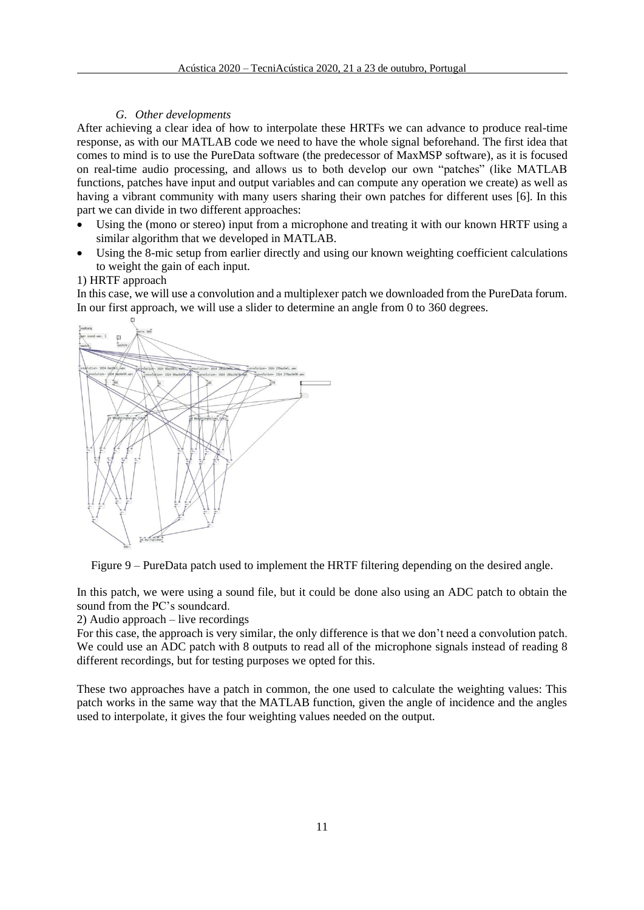## *G. Other developments*

After achieving a clear idea of how to interpolate these HRTFs we can advance to produce real-time response, as with our MATLAB code we need to have the whole signal beforehand. The first idea that comes to mind is to use the PureData software (the predecessor of MaxMSP software), as it is focused on real-time audio processing, and allows us to both develop our own "patches" (like MATLAB functions, patches have input and output variables and can compute any operation we create) as well as having a vibrant community with many users sharing their own patches for different uses [6]. In this part we can divide in two different approaches:

- Using the (mono or stereo) input from a microphone and treating it with our known HRTF using a similar algorithm that we developed in MATLAB.
- Using the 8-mic setup from earlier directly and using our known weighting coefficient calculations to weight the gain of each input.

# 1) HRTF approach

In this case, we will use a convolution and a multiplexer patch we downloaded from the PureData forum. In our first approach, we will use a slider to determine an angle from 0 to 360 degrees.



Figure 9 – PureData patch used to implement the HRTF filtering depending on the desired angle.

In this patch, we were using a sound file, but it could be done also using an ADC patch to obtain the sound from the PC's soundcard.

2) Audio approach – live recordings

For this case, the approach is very similar, the only difference is that we don't need a convolution patch. We could use an ADC patch with 8 outputs to read all of the microphone signals instead of reading 8 different recordings, but for testing purposes we opted for this.

These two approaches have a patch in common, the one used to calculate the weighting values: This patch works in the same way that the MATLAB function, given the angle of incidence and the angles used to interpolate, it gives the four weighting values needed on the output.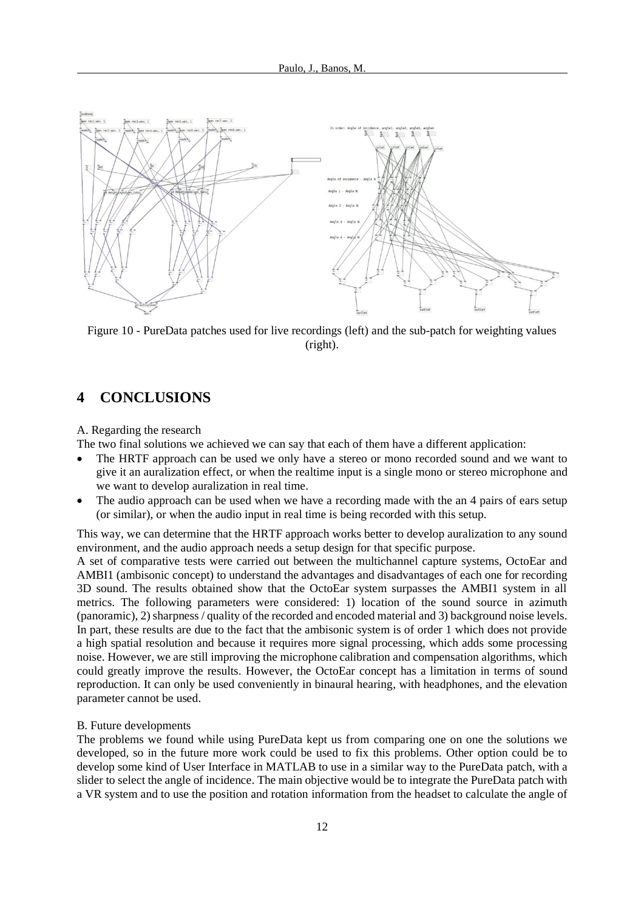

Figure 10 - PureData patches used for live recordings (left) and the sub-patch for weighting values (right).

# **4 CONCLUSIONS**

A. Regarding the research

The two final solutions we achieved we can say that each of them have a different application:

- The HRTF approach can be used we only have a stereo or mono recorded sound and we want to give it an auralization effect, or when the realtime input is a single mono or stereo microphone and we want to develop auralization in real time.
- The audio approach can be used when we have a recording made with the an 4 pairs of ears setup (or similar), or when the audio input in real time is being recorded with this setup.

This way, we can determine that the HRTF approach works better to develop auralization to any sound environment, and the audio approach needs a setup design for that specific purpose.

A set of comparative tests were carried out between the multichannel capture systems, OctoEar and AMBI1 (ambisonic concept) to understand the advantages and disadvantages of each one for recording 3D sound. The results obtained show that the OctoEar system surpasses the AMBI1 system in all metrics. The following parameters were considered: 1) location of the sound source in azimuth (panoramic), 2) sharpness / quality of the recorded and encoded material and 3) background noise levels. In part, these results are due to the fact that the ambisonic system is of order 1 which does not provide a high spatial resolution and because it requires more signal processing, which adds some processing noise. However, we are still improving the microphone calibration and compensation algorithms, which could greatly improve the results. However, the OctoEar concept has a limitation in terms of sound reproduction. It can only be used conveniently in binaural hearing, with headphones, and the elevation parameter cannot be used.

#### B. Future developments

The problems we found while using PureData kept us from comparing one on one the solutions we developed, so in the future more work could be used to fix this problems. Other option could be to develop some kind of User Interface in MATLAB to use in a similar way to the PureData patch, with a slider to select the angle of incidence. The main objective would be to integrate the PureData patch with a VR system and to use the position and rotation information from the headset to calculate the angle of